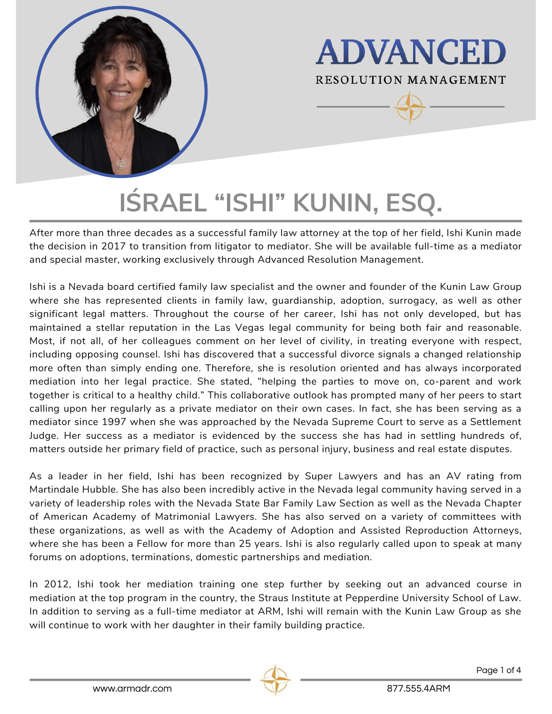

**ADVANCED RESOLUTION MANAGEMENT** 

# $I$ **ŚRAEL "ISHI" KUNIN, ESQ.**

After more than three decades as a successful family law attorney at the top of her field, Ishi Kunin made the decision in 2017 to transition from litigator to mediator. She will be available full-time as a mediator and special master, working exclusively through Advanced Resolution Management.

Ishi is a Nevada board certified family law specialist and the owner and founder of the Kunin Law Group where she has represented clients in family law, guardianship, adoption, surrogacy, as well as other significant legal matters. Throughout the course of her career, Ishi has not only developed, but has maintained a stellar reputation in the Las Vegas legal community for being both fair and reasonable. Most, if not all, of her colleagues comment on her level of civility, in treating everyone with respect, including opposing counsel. Ishi has discovered that a successful divorce signals a changed relationship more often than simply ending one. Therefore, she is resolution oriented and has always incorporated mediation into her legal practice. She stated, "helping the parties to move on, co-parent and work together is critical to a healthy child." This collaborative outlook has prompted many of her peers to start calling upon her regularly as a private mediator on their own cases. In fact, she has been serving as a mediator since 1997 when she was approached by the Nevada Supreme Court to serve as a Settlement Judge. Her success as a mediator is evidenced by the success she has had in settling hundreds of, matters outside her primary field of practice, such as personal injury, business and real estate disputes.

As a leader in her field, Ishi has been recognized by Super Lawyers and has an AV rating from Martindale Hubble. She has also been incredibly active in the Nevada legal community having served in a variety of leadership roles with the Nevada State Bar Family Law Section as well as the Nevada Chapter of American Academy of Matrimonial Lawyers. She has also served on a variety of committees with these organizations, as well as with the Academy of Adoption and Assisted Reproduction Attorneys, where she has been a Fellow for more than 25 years. Ishi is also regularly called upon to speak at many forums on adoptions, terminations, domestic partnerships and mediation.

In 2012, Ishi took her mediation training one step further by seeking out an advanced course in mediation at the top program in the country, the Straus Institute at Pepperdine University School of Law. In addition to serving as a full-time mediator at ARM, Ishi will remain with the Kunin Law Group as she will continue to work with her daughter in their family building practice.



Page 1 of 4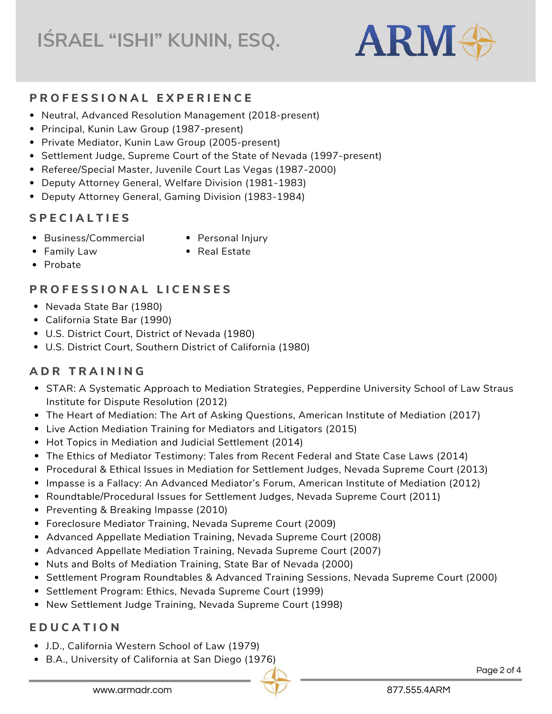# **IŚRAEL "ISHI" KUNIN, ESQ.**



#### **P R O F E S S I O N A L E X P E R I E N C E**

- Neutral, Advanced Resolution Management (2018-present)
- Principal, Kunin Law Group (1987-present)
- Private Mediator, Kunin Law Group (2005-present)
- Settlement Judge, Supreme Court of the State of Nevada (1997-present)
- Referee/Special Master, Juvenile Court Las Vegas (1987-2000)
- Deputy Attorney General, Welfare Division (1981-1983)
- Deputy Attorney General, Gaming Division (1983-1984)

### **S P E C I A L T I E S**

- Business/Commercial
- Personal Injury

• Real Estate

- Family Law
- Probate

#### **P R O F E S S I O N A L L I C E N S E S**

- Nevada State Bar (1980)
- California State Bar (1990)
- U.S. District Court, District of Nevada (1980)
- U.S. District Court, Southern District of California (1980)

# **A D R T R A I N I N G**

- STAR: A Systematic Approach to Mediation Strategies, Pepperdine University School of Law Straus Institute for Dispute Resolution (2012)
- The Heart of Mediation: The Art of Asking Questions, American Institute of Mediation (2017)
- Live Action Mediation Training for Mediators and Litigators (2015)
- Hot Topics in Mediation and Judicial Settlement (2014)
- The Ethics of Mediator Testimony: Tales from Recent Federal and State Case Laws (2014)
- Procedural & Ethical Issues in Mediation for Settlement Judges, Nevada Supreme Court (2013)
- Impasse is a Fallacy: An Advanced Mediator's Forum, American Institute of Mediation (2012)
- Roundtable/Procedural Issues for Settlement Judges, Nevada Supreme Court (2011)
- Preventing & Breaking Impasse (2010)
- Foreclosure Mediator Training, Nevada Supreme Court (2009)
- Advanced Appellate Mediation Training, Nevada Supreme Court (2008)
- Advanced Appellate Mediation Training, Nevada Supreme Court (2007)
- Nuts and Bolts of Mediation Training, State Bar of Nevada (2000)
- **Settlement Program Roundtables & Advanced Training Sessions, Nevada Supreme Court (2000)**
- Settlement Program: Ethics, Nevada Supreme Court (1999)
- New Settlement Judge Training, Nevada Supreme Court (1998)

#### **E D U C A T I O N**

- J.D., California Western School of Law (1979)
- B.A., University of California at San Diego (1976)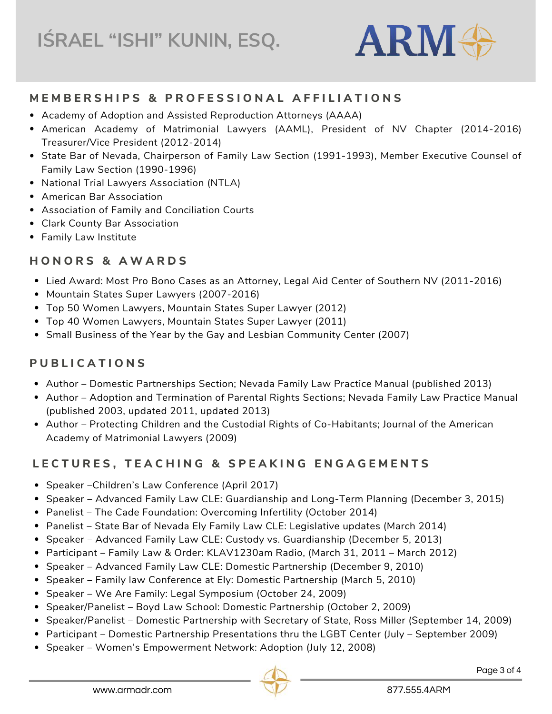

#### MEMBERSHIPS & PROFESSIONAL AFFILIATIONS

- Academy of Adoption and Assisted Reproduction Attorneys (AAAA)
- American Academy of Matrimonial Lawyers (AAML), President of NV Chapter (2014-2016) Treasurer/Vice President (2012-2014)
- State Bar of Nevada, Chairperson of Family Law Section (1991-1993), Member Executive Counsel of Family Law Section (1990-1996)
- National Trial Lawyers Association (NTLA)
- American Bar Association
- Association of Family and Conciliation Courts
- Clark County Bar Association
- Family Law Institute

#### **H O N O R S & A W A R D S**

- Lied Award: Most Pro Bono Cases as an Attorney, Legal Aid Center of Southern NV (2011-2016)
- Mountain States Super Lawyers (2007-2016)
- Top 50 Women Lawyers, Mountain States Super Lawyer (2012)
- Top 40 Women Lawyers, Mountain States Super Lawyer (2011)
- Small Business of the Year by the Gay and Lesbian Community Center (2007)

#### **P U B L I C A T I O N S**

- Author Domestic Partnerships Section; Nevada Family Law Practice Manual (published 2013)
- Author Adoption and Termination of Parental Rights Sections; Nevada Family Law Practice Manual (published 2003, updated 2011, updated 2013)
- Author Protecting Children and the Custodial Rights of Co-Habitants; Journal of the American Academy of Matrimonial Lawyers (2009)

# LECTURES, TEACHING & SPEAKING ENGAGEMENTS

- Speaker Children's Law Conference (April 2017)
- **•** Speaker Advanced Family Law CLE: Guardianship and Long-Term Planning (December 3, 2015)
- Panelist The Cade Foundation: Overcoming Infertility (October 2014)
- Panelist State Bar of Nevada Ely Family Law CLE: Legislative updates (March 2014)
- Speaker Advanced Family Law CLE: Custody vs. Guardianship (December 5, 2013)
- Participant Family Law & Order: KLAV1230am Radio, (March 31, 2011 March 2012)
- Speaker Advanced Family Law CLE: Domestic Partnership (December 9, 2010)
- Speaker Family law Conference at Ely: Domestic Partnership (March 5, 2010)
- Speaker We Are Family: Legal Symposium (October 24, 2009)
- Speaker/Panelist Boyd Law School: Domestic Partnership (October 2, 2009)
- **Sheaker/Panelist Domestic Partnership with Secretary of State, Ross Miller (September 14, 2009)**
- Participant Domestic Partnership Presentations thru the LGBT Center (July September 2009)
- **Speaker Women's Empowerment Network: Adoption (July 12, 2008)**